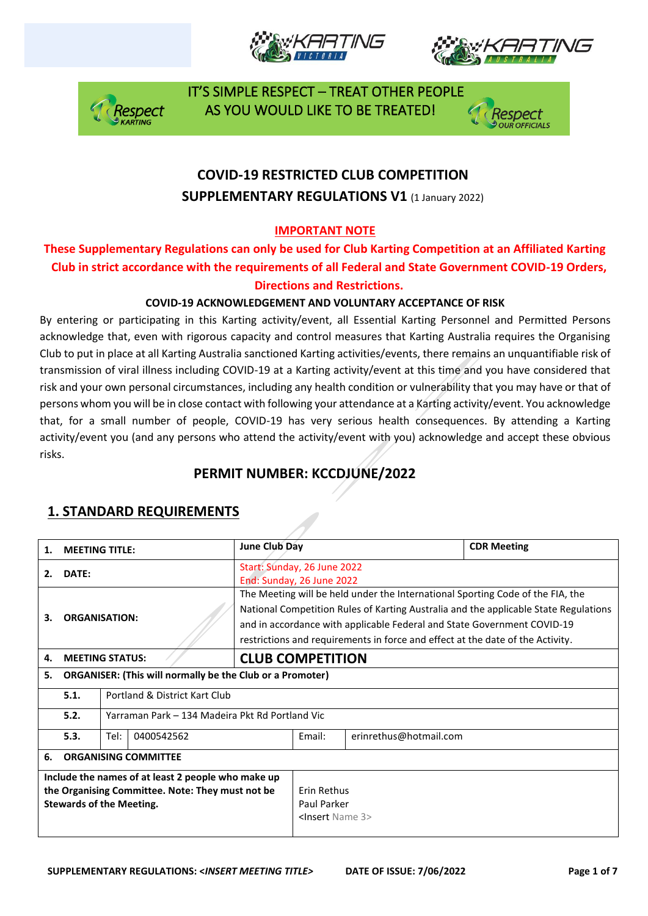







## **COVID-19 RESTRICTED CLUB COMPETITION SUPPLEMENTARY REGULATIONS V1 (1 January 2022)**

### **IMPORTANT NOTE**

### **These Supplementary Regulations can only be used for Club Karting Competition at an Affiliated Karting Club in strict accordance with the requirements of all Federal and State Government COVID-19 Orders, Directions and Restrictions.**

### **COVID-19 ACKNOWLEDGEMENT AND VOLUNTARY ACCEPTANCE OF RISK**

By entering or participating in this Karting activity/event, all Essential Karting Personnel and Permitted Persons acknowledge that, even with rigorous capacity and control measures that Karting Australia requires the Organising Club to put in place at all Karting Australia sanctioned Karting activities/events, there remains an unquantifiable risk of transmission of viral illness including COVID-19 at a Karting activity/event at this time and you have considered that risk and your own personal circumstances, including any health condition or vulnerability that you may have or that of persons whom you will be in close contact with following your attendance at a Karting activity/event. You acknowledge that, for a small number of people, COVID-19 has very serious health consequences. By attending a Karting activity/event you (and any persons who attend the activity/event with you) acknowledge and accept these obvious risks.

## **PERMIT NUMBER: KCCDJUNE/2022**

| 1.                                                                                                                                        | <b>MEETING TITLE:</b>                                   |                                                                  |  | June Club Day                                                                                                                                                                                                                                                                                                                       |                                                                     |                        | <b>CDR Meeting</b> |
|-------------------------------------------------------------------------------------------------------------------------------------------|---------------------------------------------------------|------------------------------------------------------------------|--|-------------------------------------------------------------------------------------------------------------------------------------------------------------------------------------------------------------------------------------------------------------------------------------------------------------------------------------|---------------------------------------------------------------------|------------------------|--------------------|
| 2.                                                                                                                                        | DATE:                                                   |                                                                  |  | Start: Sunday, 26 June 2022<br>End: Sunday, 26 June 2022                                                                                                                                                                                                                                                                            |                                                                     |                        |                    |
| <b>ORGANISATION:</b><br>З.                                                                                                                |                                                         |                                                                  |  | The Meeting will be held under the International Sporting Code of the FIA, the<br>National Competition Rules of Karting Australia and the applicable State Regulations<br>and in accordance with applicable Federal and State Government COVID-19<br>restrictions and requirements in force and effect at the date of the Activity. |                                                                     |                        |                    |
| 4.                                                                                                                                        | <b>MEETING STATUS:</b>                                  |                                                                  |  | <b>CLUB COMPETITION</b>                                                                                                                                                                                                                                                                                                             |                                                                     |                        |                    |
| 5.                                                                                                                                        |                                                         | <b>ORGANISER: (This will normally be the Club or a Promoter)</b> |  |                                                                                                                                                                                                                                                                                                                                     |                                                                     |                        |                    |
|                                                                                                                                           | 5.1.                                                    | Portland & District Kart Club                                    |  |                                                                                                                                                                                                                                                                                                                                     |                                                                     |                        |                    |
|                                                                                                                                           | 5.2.<br>Yarraman Park – 134 Madeira Pkt Rd Portland Vic |                                                                  |  |                                                                                                                                                                                                                                                                                                                                     |                                                                     |                        |                    |
|                                                                                                                                           | 5.3.<br>Tel:<br>0400542562                              |                                                                  |  |                                                                                                                                                                                                                                                                                                                                     | Fmail:                                                              | erinrethus@hotmail.com |                    |
| 6.                                                                                                                                        | <b>ORGANISING COMMITTEE</b>                             |                                                                  |  |                                                                                                                                                                                                                                                                                                                                     |                                                                     |                        |                    |
| Include the names of at least 2 people who make up<br>the Organising Committee. Note: They must not be<br><b>Stewards of the Meeting.</b> |                                                         |                                                                  |  |                                                                                                                                                                                                                                                                                                                                     | <b>Frin Rethus</b><br>Paul Parker<br><lnsert 3="" name=""></lnsert> |                        |                    |

## **1. STANDARD REQUIREMENTS**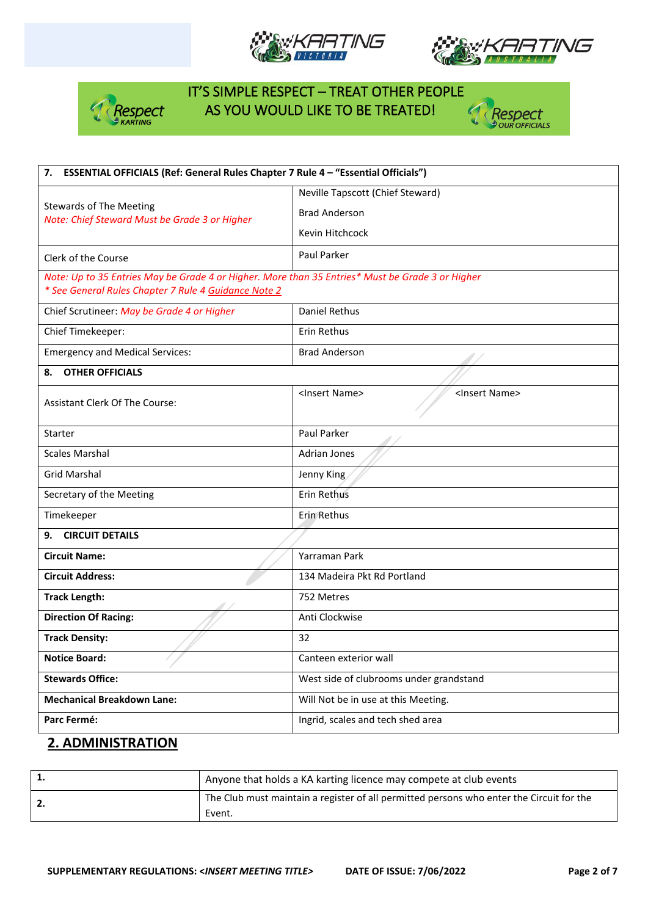







| 7. ESSENTIAL OFFICIALS (Ref: General Rules Chapter 7 Rule 4 - "Essential Officials")                                                                     |                                                         |  |  |  |
|----------------------------------------------------------------------------------------------------------------------------------------------------------|---------------------------------------------------------|--|--|--|
|                                                                                                                                                          | Neville Tapscott (Chief Steward)                        |  |  |  |
| <b>Stewards of The Meeting</b><br>Note: Chief Steward Must be Grade 3 or Higher                                                                          | <b>Brad Anderson</b>                                    |  |  |  |
|                                                                                                                                                          | Kevin Hitchcock                                         |  |  |  |
| Clerk of the Course                                                                                                                                      | Paul Parker                                             |  |  |  |
| Note: Up to 35 Entries May be Grade 4 or Higher. More than 35 Entries* Must be Grade 3 or Higher<br>* See General Rules Chapter 7 Rule 4 Guidance Note 2 |                                                         |  |  |  |
| Chief Scrutineer: May be Grade 4 or Higher                                                                                                               | Daniel Rethus                                           |  |  |  |
| Chief Timekeeper:                                                                                                                                        | Erin Rethus                                             |  |  |  |
| <b>Emergency and Medical Services:</b>                                                                                                                   | <b>Brad Anderson</b>                                    |  |  |  |
| <b>OTHER OFFICIALS</b><br>8.                                                                                                                             |                                                         |  |  |  |
| <b>Assistant Clerk Of The Course:</b>                                                                                                                    | <insert name=""><br/><insert name=""></insert></insert> |  |  |  |
| Starter                                                                                                                                                  | Paul Parker                                             |  |  |  |
| <b>Scales Marshal</b>                                                                                                                                    | <b>Adrian Jones</b>                                     |  |  |  |
| <b>Grid Marshal</b>                                                                                                                                      | Jenny King                                              |  |  |  |
| Secretary of the Meeting                                                                                                                                 | Erin Rethus                                             |  |  |  |
| Timekeeper                                                                                                                                               | Erin Rethus                                             |  |  |  |
| <b>CIRCUIT DETAILS</b><br>9.                                                                                                                             |                                                         |  |  |  |
| <b>Circuit Name:</b>                                                                                                                                     | Yarraman Park                                           |  |  |  |
| <b>Circuit Address:</b>                                                                                                                                  | 134 Madeira Pkt Rd Portland                             |  |  |  |
| <b>Track Length:</b>                                                                                                                                     | 752 Metres                                              |  |  |  |
| <b>Direction Of Racing:</b>                                                                                                                              | Anti Clockwise                                          |  |  |  |
| <b>Track Density:</b>                                                                                                                                    | 32                                                      |  |  |  |
| <b>Notice Board:</b>                                                                                                                                     | Canteen exterior wall                                   |  |  |  |
| <b>Stewards Office:</b>                                                                                                                                  | West side of clubrooms under grandstand                 |  |  |  |
| <b>Mechanical Breakdown Lane:</b>                                                                                                                        | Will Not be in use at this Meeting.                     |  |  |  |
| Parc Fermé:                                                                                                                                              | Ingrid, scales and tech shed area                       |  |  |  |

### **2. ADMINISTRATION**

| Anyone that holds a KA karting licence may compete at club events                        |
|------------------------------------------------------------------------------------------|
| The Club must maintain a register of all permitted persons who enter the Circuit for the |
| Event.                                                                                   |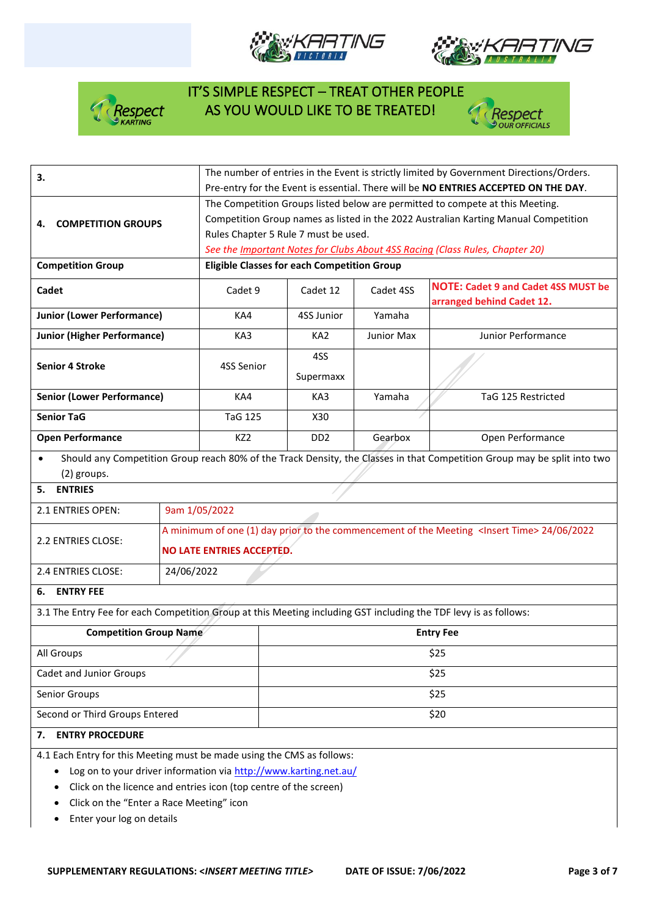







| 3.                                                                                                               | The number of entries in the Event is strictly limited by Government Directions/Orders.<br>Pre-entry for the Event is essential. There will be NO ENTRIES ACCEPTED ON THE DAY. |                                                                                                        |                             |            |                                                                                                                          |  |  |
|------------------------------------------------------------------------------------------------------------------|--------------------------------------------------------------------------------------------------------------------------------------------------------------------------------|--------------------------------------------------------------------------------------------------------|-----------------------------|------------|--------------------------------------------------------------------------------------------------------------------------|--|--|
|                                                                                                                  | The Competition Groups listed below are permitted to compete at this Meeting.                                                                                                  |                                                                                                        |                             |            |                                                                                                                          |  |  |
| <b>COMPETITION GROUPS</b><br>4.                                                                                  |                                                                                                                                                                                | Competition Group names as listed in the 2022 Australian Karting Manual Competition                    |                             |            |                                                                                                                          |  |  |
|                                                                                                                  |                                                                                                                                                                                | Rules Chapter 5 Rule 7 must be used.                                                                   |                             |            |                                                                                                                          |  |  |
|                                                                                                                  |                                                                                                                                                                                |                                                                                                        |                             |            | See the Important Notes for Clubs About 4SS Racing (Class Rules, Chapter 20)                                             |  |  |
| <b>Competition Group</b>                                                                                         |                                                                                                                                                                                | <b>Eligible Classes for each Competition Group</b>                                                     |                             |            |                                                                                                                          |  |  |
| Cadet                                                                                                            |                                                                                                                                                                                | Cadet 9                                                                                                | Cadet 12                    | Cadet 4SS  | <b>NOTE: Cadet 9 and Cadet 4SS MUST be</b><br>arranged behind Cadet 12.                                                  |  |  |
| <b>Junior (Lower Performance)</b>                                                                                |                                                                                                                                                                                | KA4                                                                                                    | 4SS Junior                  | Yamaha     |                                                                                                                          |  |  |
| <b>Junior (Higher Performance)</b>                                                                               |                                                                                                                                                                                | KA3                                                                                                    | KA <sub>2</sub>             | Junior Max | Junior Performance                                                                                                       |  |  |
|                                                                                                                  |                                                                                                                                                                                |                                                                                                        | 4SS                         |            |                                                                                                                          |  |  |
| <b>Senior 4 Stroke</b>                                                                                           |                                                                                                                                                                                | 4SS Senior                                                                                             | Supermaxx                   |            |                                                                                                                          |  |  |
| <b>Senior (Lower Performance)</b>                                                                                |                                                                                                                                                                                | KA4                                                                                                    | KA3                         | Yamaha     | TaG 125 Restricted                                                                                                       |  |  |
| <b>Senior TaG</b>                                                                                                |                                                                                                                                                                                | <b>TaG 125</b>                                                                                         | X30                         |            |                                                                                                                          |  |  |
| <b>Open Performance</b>                                                                                          |                                                                                                                                                                                | KZ <sub>2</sub>                                                                                        | D <sub>D</sub> <sub>2</sub> | Gearbox    | Open Performance                                                                                                         |  |  |
|                                                                                                                  |                                                                                                                                                                                |                                                                                                        |                             |            | Should any Competition Group reach 80% of the Track Density, the Classes in that Competition Group may be split into two |  |  |
| (2) groups.                                                                                                      |                                                                                                                                                                                |                                                                                                        |                             |            |                                                                                                                          |  |  |
| <b>ENTRIES</b><br>5.                                                                                             |                                                                                                                                                                                |                                                                                                        |                             |            |                                                                                                                          |  |  |
| 2.1 ENTRIES OPEN:                                                                                                |                                                                                                                                                                                | 9am 1/05/2022                                                                                          |                             |            |                                                                                                                          |  |  |
| 2.2 ENTRIES CLOSE:                                                                                               |                                                                                                                                                                                | A minimum of one (1) day prior to the commencement of the Meeting <lnsert time=""> 24/06/2022</lnsert> |                             |            |                                                                                                                          |  |  |
|                                                                                                                  |                                                                                                                                                                                | <b>NO LATE ENTRIES ACCEPTED.</b>                                                                       |                             |            |                                                                                                                          |  |  |
| 2.4 ENTRIES CLOSE:                                                                                               | 24/06/2022                                                                                                                                                                     |                                                                                                        |                             |            |                                                                                                                          |  |  |
| <b>ENTRY FEE</b><br>6.                                                                                           |                                                                                                                                                                                |                                                                                                        |                             |            |                                                                                                                          |  |  |
| 3.1 The Entry Fee for each Competition Group at this Meeting including GST including the TDF levy is as follows: |                                                                                                                                                                                |                                                                                                        |                             |            |                                                                                                                          |  |  |
| <b>Competition Group Name</b>                                                                                    | <b>Entry Fee</b>                                                                                                                                                               |                                                                                                        |                             |            |                                                                                                                          |  |  |
| All Groups                                                                                                       |                                                                                                                                                                                | \$25                                                                                                   |                             |            |                                                                                                                          |  |  |
| Cadet and Junior Groups                                                                                          | \$25                                                                                                                                                                           |                                                                                                        |                             |            |                                                                                                                          |  |  |
| Senior Groups                                                                                                    | \$25                                                                                                                                                                           |                                                                                                        |                             |            |                                                                                                                          |  |  |
| Second or Third Groups Entered                                                                                   | \$20                                                                                                                                                                           |                                                                                                        |                             |            |                                                                                                                          |  |  |
| <b>ENTRY PROCEDURE</b><br>7.                                                                                     |                                                                                                                                                                                |                                                                                                        |                             |            |                                                                                                                          |  |  |
| 4.1 Each Entry for this Meeting must be made using the CMS as follows:                                           |                                                                                                                                                                                |                                                                                                        |                             |            |                                                                                                                          |  |  |
| Log on to your driver information via http://www.karting.net.au/                                                 |                                                                                                                                                                                |                                                                                                        |                             |            |                                                                                                                          |  |  |
|                                                                                                                  |                                                                                                                                                                                | Click on the licence and entries icon (top centre of the screen)                                       |                             |            |                                                                                                                          |  |  |
| Click on the "Enter a Race Meeting" icon                                                                         |                                                                                                                                                                                |                                                                                                        |                             |            |                                                                                                                          |  |  |

• Enter your log on details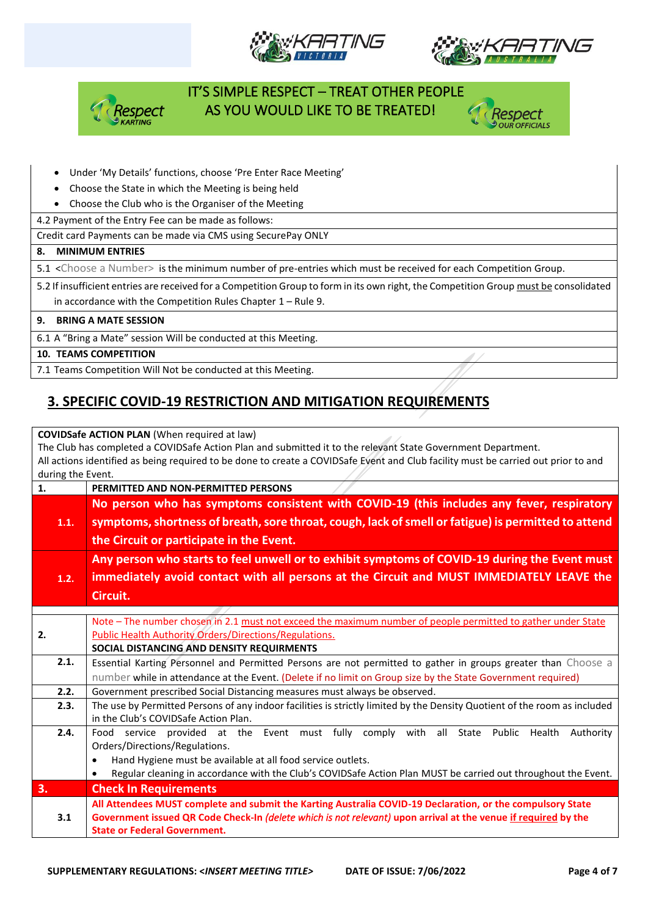







#### • Under 'My Details' functions, choose 'Pre Enter Race Meeting'

- Choose the State in which the Meeting is being held
- Choose the Club who is the Organiser of the Meeting

4.2 Payment of the Entry Fee can be made as follows:

Credit card Payments can be made via CMS using SecurePay ONLY

#### **8. MINIMUM ENTRIES**

5.1 <Choose a Number> is the minimum number of pre-entries which must be received for each Competition Group.

5.2 If insufficient entries are received for a Competition Group to form in its own right, the Competition Group must be consolidated in accordance with the Competition Rules Chapter 1 – Rule 9.

#### **9. BRING A MATE SESSION**

6.1 A "Bring a Mate" session Will be conducted at this Meeting.

#### **10. TEAMS COMPETITION**

7.1 Teams Competition Will Not be conducted at this Meeting.

### **3. SPECIFIC COVID-19 RESTRICTION AND MITIGATION REQUIREMENTS**

#### **COVIDSafe ACTION PLAN** (When required at law)

The Club has completed a COVIDSafe Action Plan and submitted it to the relevant State Government Department. All actions identified as being required to be done to create a COVIDSafe Event and Club facility must be carried out prior to and during the Event.

| 1.   | PERMITTED AND NON-PERMITTED PERSONS                                                                                       |  |  |
|------|---------------------------------------------------------------------------------------------------------------------------|--|--|
|      | No person who has symptoms consistent with COVID-19 (this includes any fever, respiratory                                 |  |  |
| 1.1. | symptoms, shortness of breath, sore throat, cough, lack of smell or fatigue) is permitted to attend                       |  |  |
|      | the Circuit or participate in the Event.                                                                                  |  |  |
|      | Any person who starts to feel unwell or to exhibit symptoms of COVID-19 during the Event must                             |  |  |
| 1.2. | immediately avoid contact with all persons at the Circuit and MUST IMMEDIATELY LEAVE the                                  |  |  |
|      | Circuit.                                                                                                                  |  |  |
|      |                                                                                                                           |  |  |
|      | Note - The number chosen in 2.1 must not exceed the maximum number of people permitted to gather under State              |  |  |
| 2.   | Public Health Authority Orders/Directions/Regulations.                                                                    |  |  |
|      | SOCIAL DISTANCING AND DENSITY REQUIRMENTS                                                                                 |  |  |
| 2.1. | Essential Karting Personnel and Permitted Persons are not permitted to gather in groups greater than Choose a             |  |  |
|      | number while in attendance at the Event. (Delete if no limit on Group size by the State Government required)              |  |  |
| 2.2. | Government prescribed Social Distancing measures must always be observed.                                                 |  |  |
| 2.3. | The use by Permitted Persons of any indoor facilities is strictly limited by the Density Quotient of the room as included |  |  |
|      | in the Club's COVIDSafe Action Plan.                                                                                      |  |  |
| 2.4. | service provided at the Event must fully comply with all State Public Health<br>Authority<br>Food                         |  |  |
|      | Orders/Directions/Regulations.                                                                                            |  |  |
|      | Hand Hygiene must be available at all food service outlets.<br>$\bullet$                                                  |  |  |
|      | Regular cleaning in accordance with the Club's COVIDSafe Action Plan MUST be carried out throughout the Event.            |  |  |
| 3.   | <b>Check In Requirements</b>                                                                                              |  |  |
|      | All Attendees MUST complete and submit the Karting Australia COVID-19 Declaration, or the compulsory State                |  |  |
| 3.1  | Government issued QR Code Check-In (delete which is not relevant) upon arrival at the venue if required by the            |  |  |
|      | <b>State or Federal Government.</b>                                                                                       |  |  |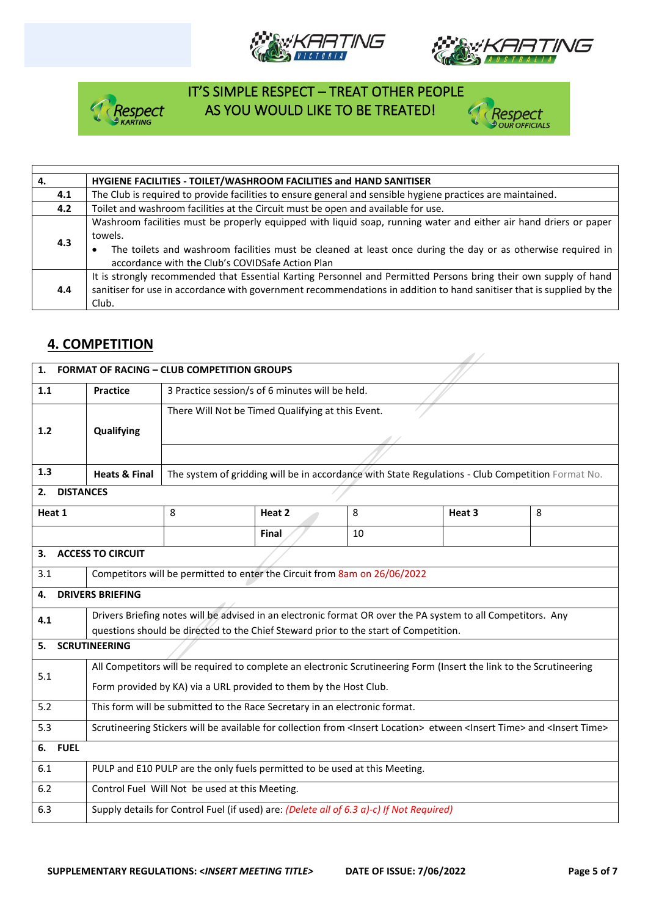







27

| 4.  | HYGIENE FACILITIES - TOILET/WASHROOM FACILITIES and HAND SANITISER                                                                                                                                                                                                                               |  |  |  |  |
|-----|--------------------------------------------------------------------------------------------------------------------------------------------------------------------------------------------------------------------------------------------------------------------------------------------------|--|--|--|--|
| 4.1 | The Club is required to provide facilities to ensure general and sensible hygiene practices are maintained.                                                                                                                                                                                      |  |  |  |  |
| 4.2 | Toilet and washroom facilities at the Circuit must be open and available for use.                                                                                                                                                                                                                |  |  |  |  |
| 4.3 | Washroom facilities must be properly equipped with liquid soap, running water and either air hand driers or paper<br>towels.<br>The toilets and washroom facilities must be cleaned at least once during the day or as otherwise required in<br>accordance with the Club's COVIDSafe Action Plan |  |  |  |  |
| 4.4 | It is strongly recommended that Essential Karting Personnel and Permitted Persons bring their own supply of hand<br>sanitiser for use in accordance with government recommendations in addition to hand sanitiser that is supplied by the<br>Club.                                               |  |  |  |  |

## **4. COMPETITION**

| 1.                                                                                   | <b>FORMAT OF RACING - CLUB COMPETITION GROUPS</b>                                                                                                         |                                                                   |                                                                           |    |                                                                                                   |   |  |
|--------------------------------------------------------------------------------------|-----------------------------------------------------------------------------------------------------------------------------------------------------------|-------------------------------------------------------------------|---------------------------------------------------------------------------|----|---------------------------------------------------------------------------------------------------|---|--|
| 1.1                                                                                  | <b>Practice</b>                                                                                                                                           |                                                                   | 3 Practice session/s of 6 minutes will be held.                           |    |                                                                                                   |   |  |
|                                                                                      |                                                                                                                                                           |                                                                   | There Will Not be Timed Qualifying at this Event.                         |    |                                                                                                   |   |  |
| 1.2                                                                                  | Qualifying                                                                                                                                                |                                                                   |                                                                           |    |                                                                                                   |   |  |
|                                                                                      |                                                                                                                                                           |                                                                   |                                                                           |    |                                                                                                   |   |  |
| 1.3                                                                                  | <b>Heats &amp; Final</b>                                                                                                                                  |                                                                   |                                                                           |    | The system of gridding will be in accordance with State Regulations - Club Competition Format No. |   |  |
| <b>DISTANCES</b><br>2.                                                               |                                                                                                                                                           |                                                                   |                                                                           |    |                                                                                                   |   |  |
| Heat 1                                                                               |                                                                                                                                                           | 8                                                                 | Heat 2                                                                    | 8  | Heat 3                                                                                            | 8 |  |
|                                                                                      |                                                                                                                                                           |                                                                   | <b>Final</b>                                                              | 10 |                                                                                                   |   |  |
| 3.                                                                                   | <b>ACCESS TO CIRCUIT</b>                                                                                                                                  |                                                                   |                                                                           |    |                                                                                                   |   |  |
| 3.1                                                                                  |                                                                                                                                                           |                                                                   | Competitors will be permitted to enter the Circuit from 8am on 26/06/2022 |    |                                                                                                   |   |  |
| 4.                                                                                   | <b>DRIVERS BRIEFING</b>                                                                                                                                   |                                                                   |                                                                           |    |                                                                                                   |   |  |
| 4.1                                                                                  | Drivers Briefing notes will be advised in an electronic format OR over the PA system to all Competitors. Any                                              |                                                                   |                                                                           |    |                                                                                                   |   |  |
| questions should be directed to the Chief Steward prior to the start of Competition. |                                                                                                                                                           |                                                                   |                                                                           |    |                                                                                                   |   |  |
| <b>SCRUTINEERING</b><br>5.                                                           |                                                                                                                                                           |                                                                   |                                                                           |    |                                                                                                   |   |  |
| 5.1                                                                                  | All Competitors will be required to complete an electronic Scrutineering Form (Insert the link to the Scrutineering                                       |                                                                   |                                                                           |    |                                                                                                   |   |  |
|                                                                                      |                                                                                                                                                           | Form provided by KA) via a URL provided to them by the Host Club. |                                                                           |    |                                                                                                   |   |  |
| 5.2                                                                                  | This form will be submitted to the Race Secretary in an electronic format.                                                                                |                                                                   |                                                                           |    |                                                                                                   |   |  |
| 5.3                                                                                  | Scrutineering Stickers will be available for collection from <insert location=""> etween <insert time=""> and <insert time=""></insert></insert></insert> |                                                                   |                                                                           |    |                                                                                                   |   |  |
| <b>FUEL</b><br>6.                                                                    |                                                                                                                                                           |                                                                   |                                                                           |    |                                                                                                   |   |  |
| 6.1                                                                                  | PULP and E10 PULP are the only fuels permitted to be used at this Meeting.                                                                                |                                                                   |                                                                           |    |                                                                                                   |   |  |
| 6.2                                                                                  | Control Fuel Will Not be used at this Meeting.                                                                                                            |                                                                   |                                                                           |    |                                                                                                   |   |  |
| 6.3                                                                                  | Supply details for Control Fuel (if used) are: <i>(Delete all of 6.3 a)-c) If Not Required)</i>                                                           |                                                                   |                                                                           |    |                                                                                                   |   |  |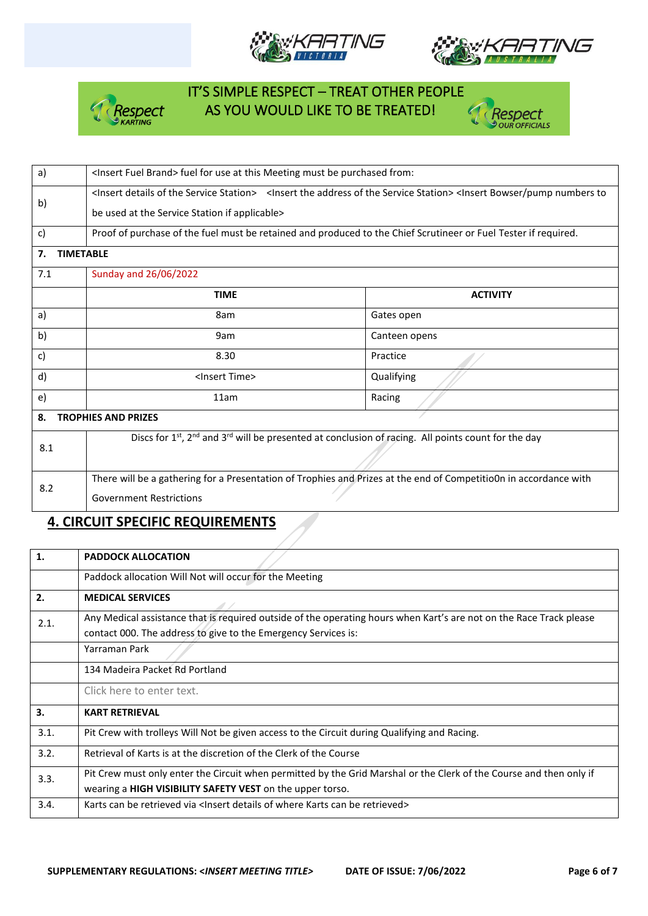







| a)                               | <insert brand="" fuel=""> fuel for use at this Meeting must be purchased from:</insert>                                                                                                     |                 |  |  |  |  |
|----------------------------------|---------------------------------------------------------------------------------------------------------------------------------------------------------------------------------------------|-----------------|--|--|--|--|
| b)                               | <lnsert details="" of="" service="" station="" the=""> <lnsert address="" of="" service="" station="" the=""> <lnsert bowser="" numbers="" pump="" td="" to<=""></lnsert></lnsert></lnsert> |                 |  |  |  |  |
|                                  | be used at the Service Station if applicable>                                                                                                                                               |                 |  |  |  |  |
| c)                               | Proof of purchase of the fuel must be retained and produced to the Chief Scrutineer or Fuel Tester if required.                                                                             |                 |  |  |  |  |
| <b>TIMETABLE</b><br>7.           |                                                                                                                                                                                             |                 |  |  |  |  |
| 7.1                              | Sunday and 26/06/2022                                                                                                                                                                       |                 |  |  |  |  |
|                                  | <b>TIME</b>                                                                                                                                                                                 | <b>ACTIVITY</b> |  |  |  |  |
| a)                               | 8am                                                                                                                                                                                         | Gates open      |  |  |  |  |
| b)                               | 9am                                                                                                                                                                                         | Canteen opens   |  |  |  |  |
| c)                               | 8.30                                                                                                                                                                                        | Practice        |  |  |  |  |
| d)                               | <lnsert time=""></lnsert>                                                                                                                                                                   | Qualifying      |  |  |  |  |
| e)                               | 11am                                                                                                                                                                                        | Racing          |  |  |  |  |
| <b>TROPHIES AND PRIZES</b><br>8. |                                                                                                                                                                                             |                 |  |  |  |  |
| 8.1                              | Discs for $1st$ , $2nd$ and $3rd$ will be presented at conclusion of racing. All points count for the day                                                                                   |                 |  |  |  |  |
|                                  |                                                                                                                                                                                             |                 |  |  |  |  |
| 8.2                              | There will be a gathering for a Presentation of Trophies and Prizes at the end of Competitio0n in accordance with                                                                           |                 |  |  |  |  |
|                                  | <b>Government Restrictions</b>                                                                                                                                                              |                 |  |  |  |  |

## **4. CIRCUIT SPECIFIC REQUIREMENTS**

| 1.   | <b>PADDOCK ALLOCATION</b>                                                                                                                                                             |
|------|---------------------------------------------------------------------------------------------------------------------------------------------------------------------------------------|
|      | Paddock allocation Will Not will occur for the Meeting                                                                                                                                |
| 2.   | <b>MEDICAL SERVICES</b>                                                                                                                                                               |
| 2.1. | Any Medical assistance that is required outside of the operating hours when Kart's are not on the Race Track please<br>contact 000. The address to give to the Emergency Services is: |
|      | Yarraman Park                                                                                                                                                                         |
|      | 134 Madeira Packet Rd Portland                                                                                                                                                        |
|      | Click here to enter text.                                                                                                                                                             |
| 3.   | <b>KART RETRIEVAL</b>                                                                                                                                                                 |
| 3.1. | Pit Crew with trolleys Will Not be given access to the Circuit during Qualifying and Racing.                                                                                          |
| 3.2. | Retrieval of Karts is at the discretion of the Clerk of the Course                                                                                                                    |
| 3.3. | Pit Crew must only enter the Circuit when permitted by the Grid Marshal or the Clerk of the Course and then only if<br>wearing a HIGH VISIBILITY SAFETY VEST on the upper torso.      |
| 3.4. | Karts can be retrieved via <lnsert be="" can="" details="" karts="" of="" retrieved="" where=""></lnsert>                                                                             |